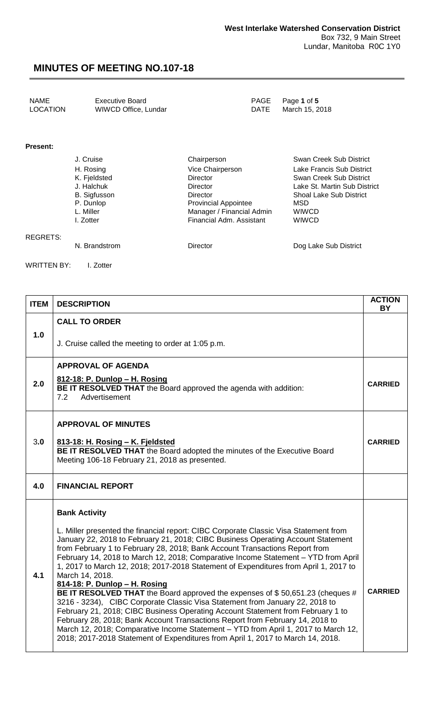| NAME     | Executive Board      |      | PAGE Page 1 of 5 |
|----------|----------------------|------|------------------|
| LOCATION | WIWCD Office, Lundar | DATE | March 15, 2018   |

#### **Present:**

REGRETS:

| J. Cruise           | Chairperson                 | Swan Creek Sub District        |
|---------------------|-----------------------------|--------------------------------|
| H. Rosing           | Vice Chairperson            | Lake Francis Sub District      |
| K. Fjeldsted        | <b>Director</b>             | Swan Creek Sub District        |
| J. Halchuk          | Director                    | Lake St. Martin Sub District   |
| <b>B.</b> Sigfusson | Director                    | <b>Shoal Lake Sub District</b> |
| P. Dunlop           | <b>Provincial Appointee</b> | MSD                            |
| L. Miller           | Manager / Financial Admin   | <b>WIWCD</b>                   |
| I. Zotter           | Financial Adm. Assistant    | <b>WIWCD</b>                   |
|                     |                             |                                |
| N. Brandstrom       | Director                    | Dog Lake Sub District          |

WRITTEN BY: I. Zotter

| <b>ITEM</b> | <b>DESCRIPTION</b>                                                                                                                                                                                                                                                                                                                                                                                                                                                                                                                                                                                                                                                                                                                                                                                                                                                                                                                                                                                                              | <b>ACTION</b><br>ΒY |
|-------------|---------------------------------------------------------------------------------------------------------------------------------------------------------------------------------------------------------------------------------------------------------------------------------------------------------------------------------------------------------------------------------------------------------------------------------------------------------------------------------------------------------------------------------------------------------------------------------------------------------------------------------------------------------------------------------------------------------------------------------------------------------------------------------------------------------------------------------------------------------------------------------------------------------------------------------------------------------------------------------------------------------------------------------|---------------------|
| 1.0         | <b>CALL TO ORDER</b><br>J. Cruise called the meeting to order at 1:05 p.m.                                                                                                                                                                                                                                                                                                                                                                                                                                                                                                                                                                                                                                                                                                                                                                                                                                                                                                                                                      |                     |
| 2.0         | <b>APPROVAL OF AGENDA</b><br>812-18: P. Dunlop - H. Rosing<br>BE IT RESOLVED THAT the Board approved the agenda with addition:<br>Advertisement<br>7.2                                                                                                                                                                                                                                                                                                                                                                                                                                                                                                                                                                                                                                                                                                                                                                                                                                                                          | <b>CARRIED</b>      |
| 3.0         | <b>APPROVAL OF MINUTES</b><br>813-18: H. Rosing - K. Fjeldsted<br>BE IT RESOLVED THAT the Board adopted the minutes of the Executive Board<br>Meeting 106-18 February 21, 2018 as presented.                                                                                                                                                                                                                                                                                                                                                                                                                                                                                                                                                                                                                                                                                                                                                                                                                                    | <b>CARRIED</b>      |
| 4.0         | <b>FINANCIAL REPORT</b>                                                                                                                                                                                                                                                                                                                                                                                                                                                                                                                                                                                                                                                                                                                                                                                                                                                                                                                                                                                                         |                     |
| 4.1         | <b>Bank Activity</b><br>L. Miller presented the financial report: CIBC Corporate Classic Visa Statement from<br>January 22, 2018 to February 21, 2018; CIBC Business Operating Account Statement<br>from February 1 to February 28, 2018; Bank Account Transactions Report from<br>February 14, 2018 to March 12, 2018; Comparative Income Statement - YTD from April<br>1, 2017 to March 12, 2018; 2017-2018 Statement of Expenditures from April 1, 2017 to<br>March 14, 2018.<br>814-18: P. Dunlop - H. Rosing<br>BE IT RESOLVED THAT the Board approved the expenses of \$50,651.23 (cheques #<br>3216 - 3234), CIBC Corporate Classic Visa Statement from January 22, 2018 to<br>February 21, 2018; CIBC Business Operating Account Statement from February 1 to<br>February 28, 2018; Bank Account Transactions Report from February 14, 2018 to<br>March 12, 2018; Comparative Income Statement - YTD from April 1, 2017 to March 12,<br>2018; 2017-2018 Statement of Expenditures from April 1, 2017 to March 14, 2018. | <b>CARRIED</b>      |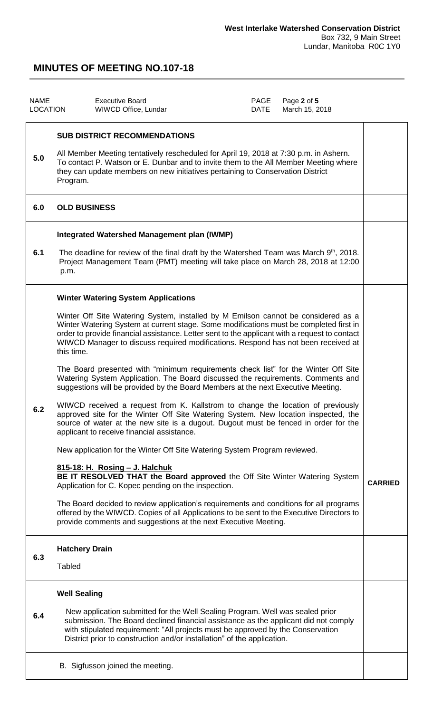| <b>NAME</b><br><b>LOCATION</b> |                                                                                                                                                                                                                                                                                                                    | <b>Executive Board</b><br>WIWCD Office, Lundar                                                                                                                                                                                                                                                                                                                                                                                                                                                                                                                                                                                                                                                                                                                                                                                                                                                                                                                                                                                                                                                                                                                                                                                                                                                                                                                                                                                                                                                           | PAGE<br>DATE | Page 2 of 5<br>March 15, 2018 |                |
|--------------------------------|--------------------------------------------------------------------------------------------------------------------------------------------------------------------------------------------------------------------------------------------------------------------------------------------------------------------|----------------------------------------------------------------------------------------------------------------------------------------------------------------------------------------------------------------------------------------------------------------------------------------------------------------------------------------------------------------------------------------------------------------------------------------------------------------------------------------------------------------------------------------------------------------------------------------------------------------------------------------------------------------------------------------------------------------------------------------------------------------------------------------------------------------------------------------------------------------------------------------------------------------------------------------------------------------------------------------------------------------------------------------------------------------------------------------------------------------------------------------------------------------------------------------------------------------------------------------------------------------------------------------------------------------------------------------------------------------------------------------------------------------------------------------------------------------------------------------------------------|--------------|-------------------------------|----------------|
| 5.0                            | <b>SUB DISTRICT RECOMMENDATIONS</b><br>All Member Meeting tentatively rescheduled for April 19, 2018 at 7:30 p.m. in Ashern.<br>To contact P. Watson or E. Dunbar and to invite them to the All Member Meeting where<br>they can update members on new initiatives pertaining to Conservation District<br>Program. |                                                                                                                                                                                                                                                                                                                                                                                                                                                                                                                                                                                                                                                                                                                                                                                                                                                                                                                                                                                                                                                                                                                                                                                                                                                                                                                                                                                                                                                                                                          |              |                               |                |
| 6.0                            | <b>OLD BUSINESS</b>                                                                                                                                                                                                                                                                                                |                                                                                                                                                                                                                                                                                                                                                                                                                                                                                                                                                                                                                                                                                                                                                                                                                                                                                                                                                                                                                                                                                                                                                                                                                                                                                                                                                                                                                                                                                                          |              |                               |                |
| 6.1                            | <b>Integrated Watershed Management plan (IWMP)</b><br>The deadline for review of the final draft by the Watershed Team was March 9th, 2018.<br>Project Management Team (PMT) meeting will take place on March 28, 2018 at 12:00<br>p.m.                                                                            |                                                                                                                                                                                                                                                                                                                                                                                                                                                                                                                                                                                                                                                                                                                                                                                                                                                                                                                                                                                                                                                                                                                                                                                                                                                                                                                                                                                                                                                                                                          |              |                               |                |
| 6.2                            | this time.                                                                                                                                                                                                                                                                                                         | <b>Winter Watering System Applications</b><br>Winter Off Site Watering System, installed by M Emilson cannot be considered as a<br>Winter Watering System at current stage. Some modifications must be completed first in<br>order to provide financial assistance. Letter sent to the applicant with a request to contact<br>WIWCD Manager to discuss required modifications. Respond has not been received at<br>The Board presented with "minimum requirements check list" for the Winter Off Site<br>Watering System Application. The Board discussed the requirements. Comments and<br>suggestions will be provided by the Board Members at the next Executive Meeting.<br>WIWCD received a request from K. Kallstrom to change the location of previously<br>approved site for the Winter Off Site Watering System. New location inspected, the<br>source of water at the new site is a dugout. Dugout must be fenced in order for the<br>applicant to receive financial assistance.<br>New application for the Winter Off Site Watering System Program reviewed.<br>815-18: H. Rosing - J. Halchuk<br>BE IT RESOLVED THAT the Board approved the Off Site Winter Watering System<br>Application for C. Kopec pending on the inspection.<br>The Board decided to review application's requirements and conditions for all programs<br>offered by the WIWCD. Copies of all Applications to be sent to the Executive Directors to<br>provide comments and suggestions at the next Executive Meeting. |              |                               | <b>CARRIED</b> |
| 6.3                            | <b>Hatchery Drain</b><br><b>Tabled</b>                                                                                                                                                                                                                                                                             |                                                                                                                                                                                                                                                                                                                                                                                                                                                                                                                                                                                                                                                                                                                                                                                                                                                                                                                                                                                                                                                                                                                                                                                                                                                                                                                                                                                                                                                                                                          |              |                               |                |
| 6.4                            | <b>Well Sealing</b>                                                                                                                                                                                                                                                                                                | New application submitted for the Well Sealing Program. Well was sealed prior<br>submission. The Board declined financial assistance as the applicant did not comply<br>with stipulated requirement: "All projects must be approved by the Conservation<br>District prior to construction and/or installation" of the application.                                                                                                                                                                                                                                                                                                                                                                                                                                                                                                                                                                                                                                                                                                                                                                                                                                                                                                                                                                                                                                                                                                                                                                       |              |                               |                |
|                                |                                                                                                                                                                                                                                                                                                                    | B. Sigfusson joined the meeting.                                                                                                                                                                                                                                                                                                                                                                                                                                                                                                                                                                                                                                                                                                                                                                                                                                                                                                                                                                                                                                                                                                                                                                                                                                                                                                                                                                                                                                                                         |              |                               |                |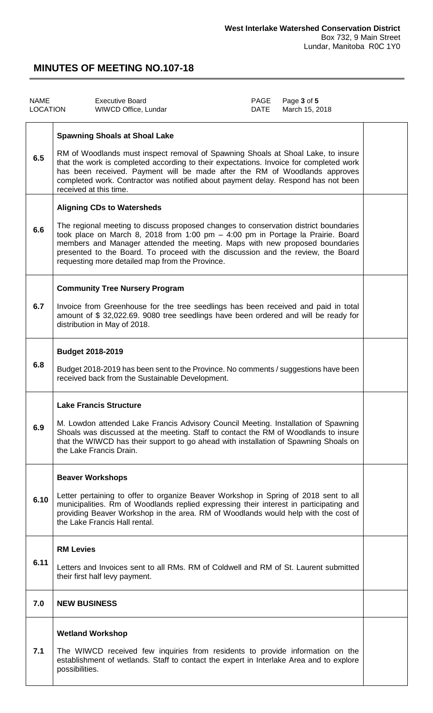| <b>NAME</b><br>LOCATION |                         | <b>Executive Board</b><br>WIWCD Office, Lundar                                                                                                                                                                                                                                                                                                                                                                                     | PAGE<br>DATE | Page 3 of 5<br>March 15, 2018 |  |
|-------------------------|-------------------------|------------------------------------------------------------------------------------------------------------------------------------------------------------------------------------------------------------------------------------------------------------------------------------------------------------------------------------------------------------------------------------------------------------------------------------|--------------|-------------------------------|--|
| 6.5                     |                         | <b>Spawning Shoals at Shoal Lake</b><br>RM of Woodlands must inspect removal of Spawning Shoals at Shoal Lake, to insure<br>that the work is completed according to their expectations. Invoice for completed work<br>has been received. Payment will be made after the RM of Woodlands approves<br>completed work. Contractor was notified about payment delay. Respond has not been<br>received at this time.                    |              |                               |  |
| 6.6                     |                         | <b>Aligning CDs to Watersheds</b><br>The regional meeting to discuss proposed changes to conservation district boundaries<br>took place on March 8, 2018 from 1:00 pm - 4:00 pm in Portage la Prairie. Board<br>members and Manager attended the meeting. Maps with new proposed boundaries<br>presented to the Board. To proceed with the discussion and the review, the Board<br>requesting more detailed map from the Province. |              |                               |  |
| 6.7                     |                         | <b>Community Tree Nursery Program</b><br>Invoice from Greenhouse for the tree seedlings has been received and paid in total<br>amount of \$32,022.69. 9080 tree seedlings have been ordered and will be ready for<br>distribution in May of 2018.                                                                                                                                                                                  |              |                               |  |
| 6.8                     | <b>Budget 2018-2019</b> | Budget 2018-2019 has been sent to the Province. No comments / suggestions have been<br>received back from the Sustainable Development.                                                                                                                                                                                                                                                                                             |              |                               |  |
| 6.9                     |                         | <b>Lake Francis Structure</b><br>M. Lowdon attended Lake Francis Advisory Council Meeting. Installation of Spawning<br>Shoals was discussed at the meeting. Staff to contact the RM of Woodlands to insure<br>that the WIWCD has their support to go ahead with installation of Spawning Shoals on<br>the Lake Francis Drain.                                                                                                      |              |                               |  |
| 6.10                    |                         | <b>Beaver Workshops</b><br>Letter pertaining to offer to organize Beaver Workshop in Spring of 2018 sent to all<br>municipalities. Rm of Woodlands replied expressing their interest in participating and<br>providing Beaver Workshop in the area. RM of Woodlands would help with the cost of<br>the Lake Francis Hall rental.                                                                                                   |              |                               |  |
| 6.11                    | <b>RM Levies</b>        | Letters and Invoices sent to all RMs. RM of Coldwell and RM of St. Laurent submitted<br>their first half levy payment.                                                                                                                                                                                                                                                                                                             |              |                               |  |
| 7.0                     | <b>NEW BUSINESS</b>     |                                                                                                                                                                                                                                                                                                                                                                                                                                    |              |                               |  |
| 7.1                     | possibilities.          | <b>Wetland Workshop</b><br>The WIWCD received few inquiries from residents to provide information on the<br>establishment of wetlands. Staff to contact the expert in Interlake Area and to explore                                                                                                                                                                                                                                |              |                               |  |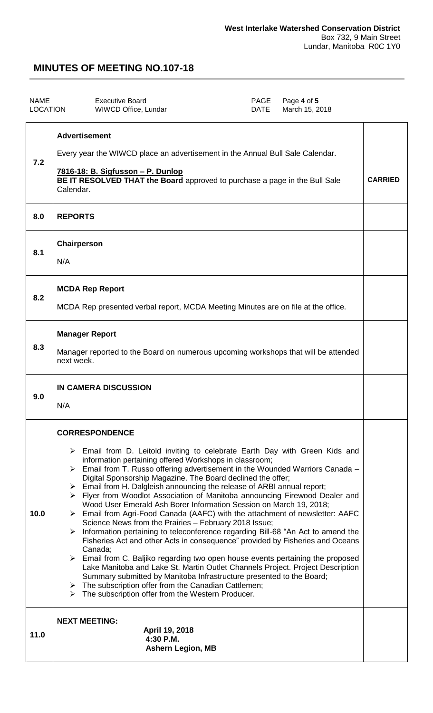| <b>NAME</b><br><b>LOCATION</b> | <b>Executive Board</b><br><b>WIWCD Office, Lundar</b>                                                                                                                                                                                                                                                                                                                                                                                                                                                                                                                                                                                                                                                                                                                                                                                                                                                                                                                                                                                                                                                                                                                                                                                                                                                                                          | PAGE<br><b>DATE</b> | Page 4 of 5<br>March 15, 2018 |                |
|--------------------------------|------------------------------------------------------------------------------------------------------------------------------------------------------------------------------------------------------------------------------------------------------------------------------------------------------------------------------------------------------------------------------------------------------------------------------------------------------------------------------------------------------------------------------------------------------------------------------------------------------------------------------------------------------------------------------------------------------------------------------------------------------------------------------------------------------------------------------------------------------------------------------------------------------------------------------------------------------------------------------------------------------------------------------------------------------------------------------------------------------------------------------------------------------------------------------------------------------------------------------------------------------------------------------------------------------------------------------------------------|---------------------|-------------------------------|----------------|
| 7.2                            | <b>Advertisement</b><br>Every year the WIWCD place an advertisement in the Annual Bull Sale Calendar.<br>7816-18: B. Sigfusson - P. Dunlop<br>BE IT RESOLVED THAT the Board approved to purchase a page in the Bull Sale<br>Calendar.                                                                                                                                                                                                                                                                                                                                                                                                                                                                                                                                                                                                                                                                                                                                                                                                                                                                                                                                                                                                                                                                                                          |                     |                               | <b>CARRIED</b> |
| 8.0                            | <b>REPORTS</b>                                                                                                                                                                                                                                                                                                                                                                                                                                                                                                                                                                                                                                                                                                                                                                                                                                                                                                                                                                                                                                                                                                                                                                                                                                                                                                                                 |                     |                               |                |
| 8.1                            | Chairperson<br>N/A                                                                                                                                                                                                                                                                                                                                                                                                                                                                                                                                                                                                                                                                                                                                                                                                                                                                                                                                                                                                                                                                                                                                                                                                                                                                                                                             |                     |                               |                |
| 8.2                            | <b>MCDA Rep Report</b><br>MCDA Rep presented verbal report, MCDA Meeting Minutes are on file at the office.                                                                                                                                                                                                                                                                                                                                                                                                                                                                                                                                                                                                                                                                                                                                                                                                                                                                                                                                                                                                                                                                                                                                                                                                                                    |                     |                               |                |
| 8.3                            | <b>Manager Report</b><br>Manager reported to the Board on numerous upcoming workshops that will be attended<br>next week.                                                                                                                                                                                                                                                                                                                                                                                                                                                                                                                                                                                                                                                                                                                                                                                                                                                                                                                                                                                                                                                                                                                                                                                                                      |                     |                               |                |
| 9.0                            | <b>IN CAMERA DISCUSSION</b><br>N/A                                                                                                                                                                                                                                                                                                                                                                                                                                                                                                                                                                                                                                                                                                                                                                                                                                                                                                                                                                                                                                                                                                                                                                                                                                                                                                             |                     |                               |                |
| 10.0                           | <b>CORRESPONDENCE</b><br>$\triangleright$ Email from D. Leitold inviting to celebrate Earth Day with Green Kids and<br>information pertaining offered Workshops in classroom;<br>$\triangleright$ Email from T. Russo offering advertisement in the Wounded Warriors Canada –<br>Digital Sponsorship Magazine. The Board declined the offer;<br>> Email from H. Dalgleish announcing the release of ARBI annual report;<br>> Flyer from Woodlot Association of Manitoba announcing Firewood Dealer and<br>Wood User Emerald Ash Borer Information Session on March 19, 2018;<br>$\triangleright$ Email from Agri-Food Canada (AAFC) with the attachment of newsletter: AAFC<br>Science News from the Prairies - February 2018 Issue;<br>$\triangleright$ Information pertaining to teleconference regarding Bill-68 "An Act to amend the<br>Fisheries Act and other Acts in consequence" provided by Fisheries and Oceans<br>Canada;<br>$\triangleright$ Email from C. Baljiko regarding two open house events pertaining the proposed<br>Lake Manitoba and Lake St. Martin Outlet Channels Project. Project Description<br>Summary submitted by Manitoba Infrastructure presented to the Board;<br>$\triangleright$ The subscription offer from the Canadian Cattlemen;<br>$\triangleright$ The subscription offer from the Western Producer. |                     |                               |                |
| 11.0                           | <b>NEXT MEETING:</b><br>April 19, 2018<br>4:30 P.M.<br><b>Ashern Legion, MB</b>                                                                                                                                                                                                                                                                                                                                                                                                                                                                                                                                                                                                                                                                                                                                                                                                                                                                                                                                                                                                                                                                                                                                                                                                                                                                |                     |                               |                |